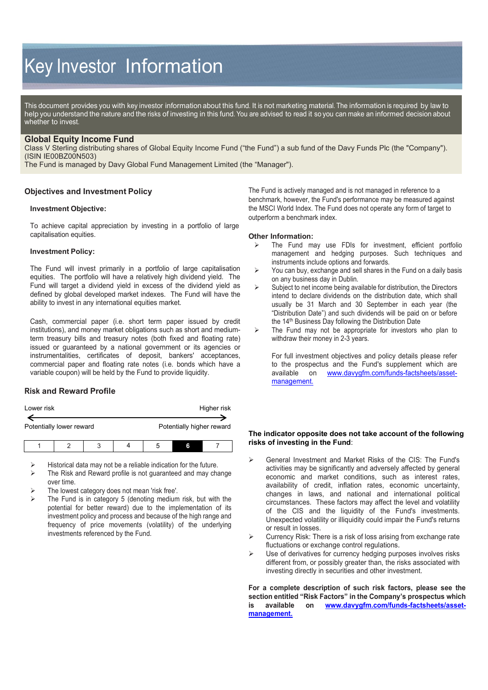# Key Investor Information

This document provides you with key investor information about this fund. It is not marketing material. The information is required by law to help you understand the nature and the risks of investing in this fund. You are advised to read it so you can make an informed decision about whether to invest.

## **Global Equity Income Fund**

Class V Sterling distributing shares of Global Equity Income Fund ("the Fund") a sub fund of the Davy Funds Plc (the "Company"). (ISIN IE00BZ00N503)

The Fund is managed by Davy Global Fund Management Limited (the "Manager").

## **Objectives and Investment Policy**

#### **Investment Objective:**

To achieve capital appreciation by investing in a portfolio of large capitalisation equities.

#### **Investment Policy:**

The Fund will invest primarily in a portfolio of large capitalisation equities. The portfolio will have a relatively high dividend yield. The Fund will target a dividend yield in excess of the dividend yield as defined by global developed market indexes. The Fund will have the ability to invest in any international equities market.

Cash, commercial paper (i.e. short term paper issued by credit institutions), and money market obligations such as short and mediumterm treasury bills and treasury notes (both fixed and floating rate) issued or guaranteed by a national government or its agencies or instrumentalities, certificates of deposit, bankers' acceptances, commercial paper and floating rate notes (i.e. bonds which have a variable coupon) will be held by the Fund to provide liquidity.

## **Risk and Reward Profile**

| Lower risk |                          |   |                           |   | Higher risk |
|------------|--------------------------|---|---------------------------|---|-------------|
|            | Potentially lower reward |   | Potentially higher reward |   |             |
|            |                          | ঽ |                           | 6 |             |

Historical data may not be a reliable indication for the future.

- The Risk and Reward profile is not guaranteed and may change over time.
- The lowest category does not mean 'risk free'.
- The Fund is in category 5 (denoting medium risk, but with the potential for better reward) due to the implementation of its investment policy and process and because of the high range and frequency of price movements (volatility) of the underlying investments referenced by the Fund.

The Fund is actively managed and is not managed in reference to a benchmark, however, the Fund's performance may be measured against the MSCI World Index. The Fund does not operate any form of target to outperform a benchmark index.

#### **Other Information:**

- The Fund may use FDIs for investment, efficient portfolio management and hedging purposes. Such techniques and instruments include options and forwards.
- $\triangleright$  You can buy, exchange and sell shares in the Fund on a daily basis on any business day in Dublin.
- $\triangleright$  Subject to net income being available for distribution, the Directors intend to declare dividends on the distribution date, which shall usually be 31 March and 30 September in each year (the "Distribution Date") and such dividends will be paid on or before the 14<sup>th</sup> Business Day following the Distribution Date
- $\triangleright$  The Fund may not be appropriate for investors who plan to withdraw their money in 2-3 years.

For full investment objectives and policy details please refer to the prospectus and the Fund's supplement which are available on www.davygfm.com/funds-factsheets/asset[www.davygfm.com/funds-factsheets/asset](http://www.davygfm.com/funds-factsheets/asset-management)[management.](http://www.davygfm.com/funds-factsheets/asset-management) 

#### **The indicator opposite does not take account of the following risks of investing in the Fund**:

- General Investment and Market Risks of the CIS: The Fund's activities may be significantly and adversely affected by general economic and market conditions, such as interest rates, availability of credit, inflation rates, economic uncertainty, changes in laws, and national and international political circumstances. These factors may affect the level and volatility of the CIS and the liquidity of the Fund's investments. Unexpected volatility or illiquidity could impair the Fund's returns or result in losses.
- Currency Risk: There is a risk of loss arising from exchange rate fluctuations or exchange control regulations.
- $\triangleright$  Use of derivatives for currency hedging purposes involves risks different from, or possibly greater than, the risks associated with investing directly in securities and other investment.

**For a complete description of such risk factors, please see the section entitled "Risk Factors" in the Company's prospectus which is available on [www.davygfm.com/funds-factsheets/asset](http://www.davygfm.com/funds-factsheets/asset-management)[management.](http://www.davygfm.com/funds-factsheets/asset-management)**